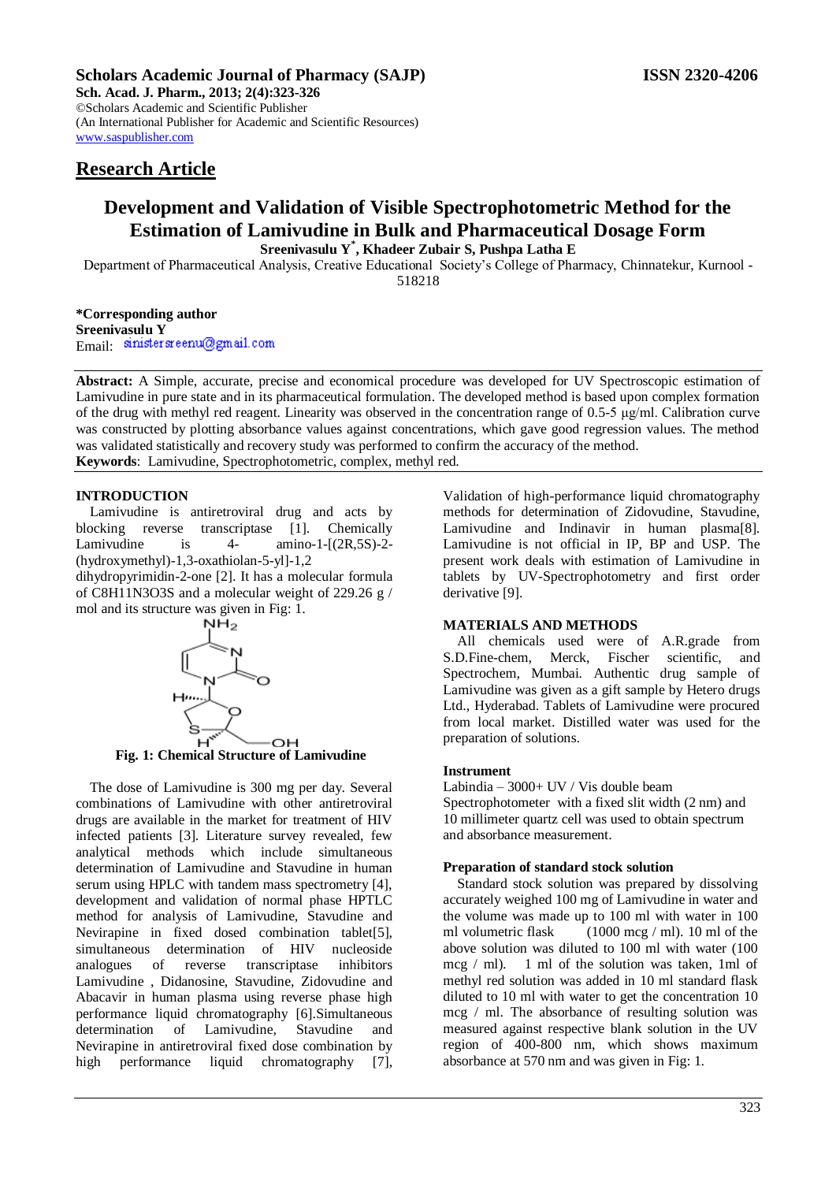# **Scholars Academic Journal of Pharmacy (SAJP) ISSN 2320-4206**

**Sch. Acad. J. Pharm., 2013; 2(4):323-326** ©Scholars Academic and Scientific Publisher (An International Publisher for Academic and Scientific Resources) [www.saspublisher.com](http://www.saspublisher.com/) 

# **Research Article**

# **Development and Validation of Visible Spectrophotometric Method for the Estimation of Lamivudine in Bulk and Pharmaceutical Dosage Form Sreenivasulu Y\* , Khadeer Zubair S, Pushpa Latha E**

Department of Pharmaceutical Analysis, Creative Educational Society's College of Pharmacy, Chinnatekur, Kurnool -

518218

**\*Corresponding author Sreenivasulu Y** Email: sinistersreenu@gmail.com

**Abstract:** A Simple, accurate, precise and economical procedure was developed for UV Spectroscopic estimation of Lamivudine in pure state and in its pharmaceutical formulation. The developed method is based upon complex formation of the drug with methyl red reagent. Linearity was observed in the concentration range of 0.5-5 μg/ml. Calibration curve was constructed by plotting absorbance values against concentrations, which gave good regression values. The method was validated statistically and recovery study was performed to confirm the accuracy of the method. **Keywords**: Lamivudine, Spectrophotometric, complex, methyl red.

# **INTRODUCTION**

Lamivudine is antiretroviral drug and acts by blocking reverse transcriptase [1]. Chemically Lamivudine is  $4$ - amino-1- $[(2R,5S)-2-]$ (hydroxymethyl)-1,3-oxathiolan-5-yl]-1,2

dihydropyrimidin-2-one [2]. It has a molecular formula of C8H11N3O3S and a molecular weight of 229.26 g / mol and its structure was given in Fig: 1.



**Fig. 1: Chemical Structure of Lamivudine**

The dose of Lamivudine is 300 mg per day. Several combinations of Lamivudine with other antiretroviral drugs are available in the market for treatment of HIV infected patients [3]. Literature survey revealed, few analytical methods which include simultaneous determination of Lamivudine and Stavudine in human serum using HPLC with tandem mass spectrometry [4], development and validation of normal phase HPTLC method for analysis of Lamivudine, Stavudine and Nevirapine in fixed dosed combination tablet [5]. simultaneous determination of HIV nucleoside analogues of reverse transcriptase inhibitors Lamivudine , Didanosine, Stavudine, Zidovudine and Abacavir in human plasma using reverse phase high performance liquid chromatography [6].Simultaneous determination of Lamivudine, Stavudine and Nevirapine in antiretroviral fixed dose combination by high performance liquid chromatography [7],

Validation of high-performance liquid chromatography methods for determination of Zidovudine, Stavudine, Lamivudine and Indinavir in human plasma[8]. Lamivudine is not official in IP, BP and USP. The present work deals with estimation of Lamivudine in tablets by UV-Spectrophotometry and first order derivative [9].

# **MATERIALS AND METHODS**

All chemicals used were of A.R.grade from S.D.Fine-chem, Merck, Fischer scientific, and Spectrochem, Mumbai. Authentic drug sample of Lamivudine was given as a gift sample by Hetero drugs Ltd., Hyderabad. Tablets of Lamivudine were procured from local market. Distilled water was used for the preparation of solutions.

#### **Instrument**

Labindia – 3000+ UV / Vis double beam Spectrophotometer with a fixed slit width (2 nm) and 10 millimeter quartz cell was used to obtain spectrum and absorbance measurement.

## **Preparation of standard stock solution**

Standard stock solution was prepared by dissolving accurately weighed 100 mg of Lamivudine in water and the volume was made up to 100 ml with water in 100 ml volumetric flask  $(1000 \text{ mcg / ml})$ . 10 ml of the above solution was diluted to 100 ml with water (100 mcg / ml). 1 ml of the solution was taken, 1ml of methyl red solution was added in 10 ml standard flask diluted to 10 ml with water to get the concentration 10 mcg / ml. The absorbance of resulting solution was measured against respective blank solution in the UV region of 400-800 nm, which shows maximum absorbance at 570 nm and was given in Fig: 1.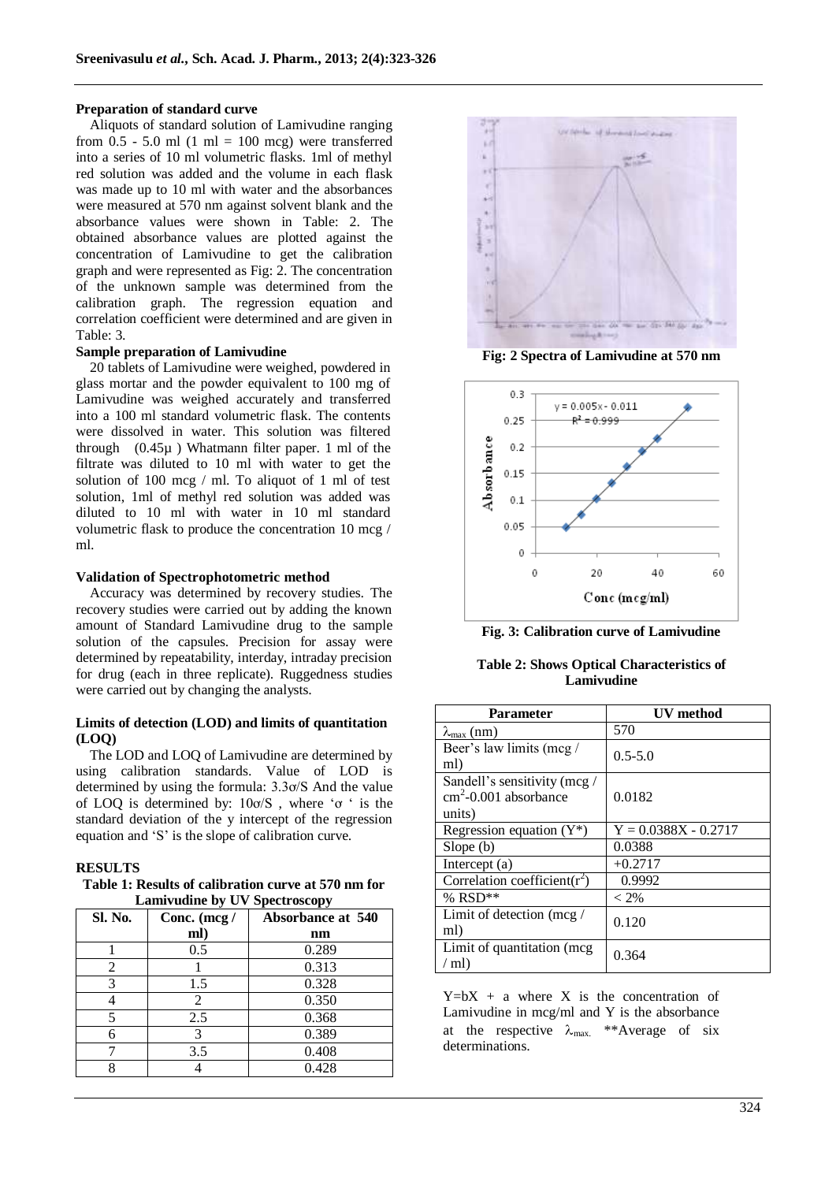#### **Preparation of standard curve**

Aliquots of standard solution of Lamivudine ranging from  $0.5 - 5.0$  ml  $(1 \text{ ml} = 100 \text{ mcg})$  were transferred into a series of 10 ml volumetric flasks. 1ml of methyl red solution was added and the volume in each flask was made up to 10 ml with water and the absorbances were measured at 570 nm against solvent blank and the absorbance values were shown in Table: 2. The obtained absorbance values are plotted against the concentration of Lamivudine to get the calibration graph and were represented as Fig: 2. The concentration of the unknown sample was determined from the calibration graph. The regression equation and correlation coefficient were determined and are given in Table: 3.

#### **Sample preparation of Lamivudine**

20 tablets of Lamivudine were weighed, powdered in glass mortar and the powder equivalent to 100 mg of Lamivudine was weighed accurately and transferred into a 100 ml standard volumetric flask. The contents were dissolved in water. This solution was filtered through (0.45µ ) Whatmann filter paper. 1 ml of the filtrate was diluted to 10 ml with water to get the solution of 100 mcg / ml. To aliquot of 1 ml of test solution, 1ml of methyl red solution was added was diluted to 10 ml with water in 10 ml standard volumetric flask to produce the concentration 10 mcg / ml.

## **Validation of Spectrophotometric method**

Accuracy was determined by recovery studies. The recovery studies were carried out by adding the known amount of Standard Lamivudine drug to the sample solution of the capsules. Precision for assay were determined by repeatability, interday, intraday precision for drug (each in three replicate). Ruggedness studies were carried out by changing the analysts.

## **Limits of detection (LOD) and limits of quantitation (LOQ)**

The LOD and LOQ of Lamivudine are determined by using calibration standards. Value of LOD is determined by using the formula: 3.3ơ/S And the value of LOQ is determined by: 10ơ/S , where 'ơ ' is the standard deviation of the y intercept of the regression equation and 'S' is the slope of calibration curve.

# **RESULTS**

**Table 1: Results of calibration curve at 570 nm for Lamivudine by UV Spectroscopy**

| Sl. No. | Conc. (mcg / | <b>Absorbance at 540</b> |  |
|---------|--------------|--------------------------|--|
|         | ml)          | nm                       |  |
|         | 0.5          | 0.289                    |  |
| 2       |              | 0.313                    |  |
| 3       | 1.5          | 0.328                    |  |
|         | 2            | 0.350                    |  |
| 5       | 2.5          | 0.368                    |  |
|         | 3            | 0.389                    |  |
|         | 3.5          | 0.408                    |  |
|         |              | 0.428                    |  |



**Fig: 2 Spectra of Lamivudine at 570 nm**



**Fig. 3: Calibration curve of Lamivudine**

**Table 2: Shows Optical Characteristics of Lamivudine**

| <b>Parameter</b>                                                          | UV method              |
|---------------------------------------------------------------------------|------------------------|
| $\lambda_{\text{max}}$ (nm)                                               | 570                    |
| Beer's law limits (mcg /<br>ml)                                           | $0.5 - 5.0$            |
| Sandell's sensitivity (mcg /<br>$\text{cm}^2$ -0.001 absorbance<br>units) | 0.0182                 |
| Regression equation $(Y^*)$                                               | $Y = 0.0388X - 0.2717$ |
| Slope(b)                                                                  | 0.0388                 |
| Intercept (a)                                                             | $+0.2717$              |
| Correlation coefficient( $r^2$ )                                          | 0.9992                 |
| % $RSD**$                                                                 | $< 2\%$                |
| Limit of detection (mcg $/$<br>ml)                                        | 0.120                  |
| Limit of quantitation (mcg<br>$\mbox{/}$ ml)                              | 0.364                  |

 $Y=bX + a$  where X is the concentration of Lamivudine in mcg/ml and Y is the absorbance at the respective  $\lambda_{\text{max}}$ . \*\*Average of six determinations.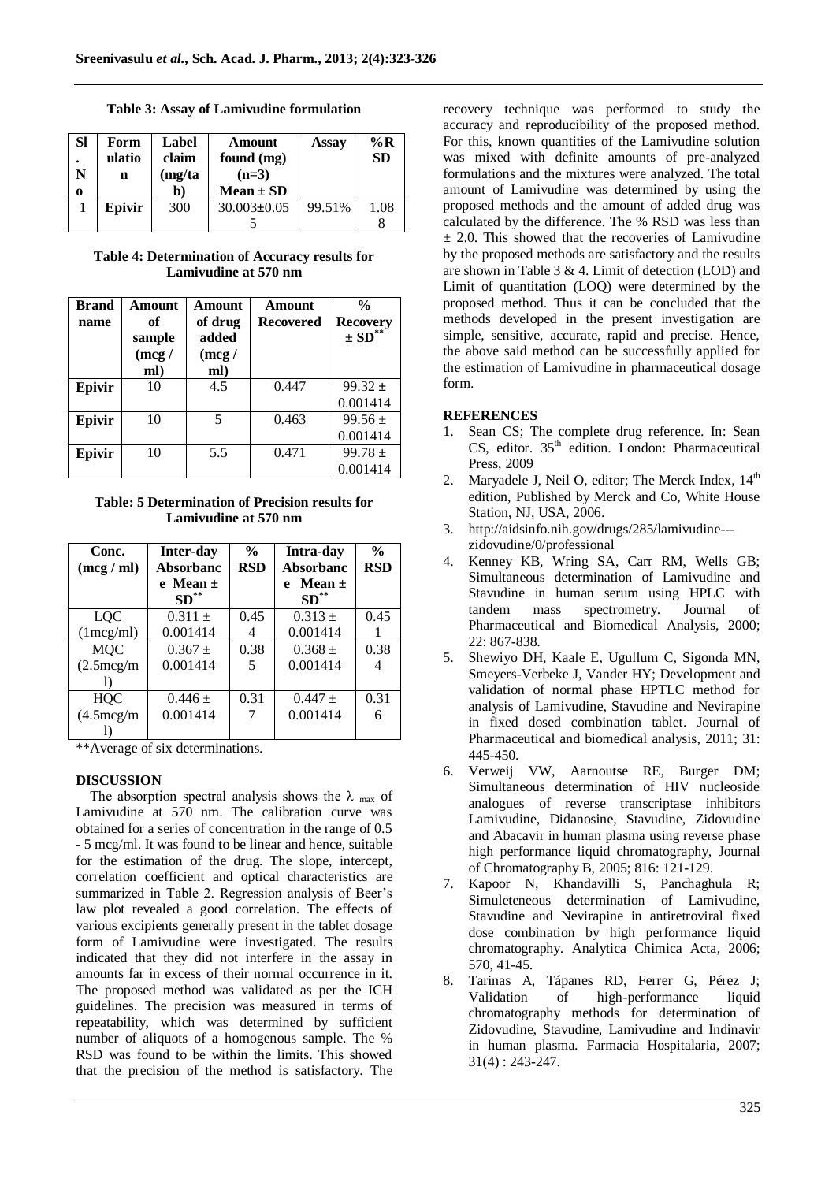**Table 3: Assay of Lamivudine formulation**

| <b>SI</b> | Form<br>ulatio<br>n | Label<br>claim<br>(mg/ta | Amount<br>found (mg)<br>$(n=3)$ | Assay  | $\%$ R<br><b>SD</b> |
|-----------|---------------------|--------------------------|---------------------------------|--------|---------------------|
| 0         |                     | $\mathbf{b}$             | $Mean \pm SD$                   |        |                     |
|           | Epivir              | 300                      | $30.003 \pm 0.05$               | 99.51% | 1.08                |
|           |                     |                          |                                 |        |                     |

**Table 4: Determination of Accuracy results for Lamivudine at 570 nm**

| <b>Brand</b> | Amount | Amount                   | Amount           | $\frac{0}{0}$          |
|--------------|--------|--------------------------|------------------|------------------------|
| name         | of     | of drug                  | <b>Recovered</b> | <b>Recovery</b>        |
|              | sample | added                    |                  | $\pm$ SD <sup>**</sup> |
|              | (mcg)  | (mcg)                    |                  |                        |
|              | ml)    | ml)                      |                  |                        |
| Epivir       | 10     | 4.5                      | 0.447            | $99.32 \pm$            |
|              |        |                          |                  | 0.001414               |
| Epivir       | 10     | $\overline{\phantom{0}}$ | 0.463            | $99.56 \pm$            |
|              |        |                          |                  | 0.001414               |
| Epivir       | 10     | 5.5                      | 0.471            | $99.78 \pm$            |
|              |        |                          |                  | 0.001414               |

**Table: 5 Determination of Precision results for Lamivudine at 570 nm**

| Conc.      | <b>Inter-day</b> | $\frac{0}{0}$ | Intra-day        | $\frac{0}{0}$ |
|------------|------------------|---------------|------------------|---------------|
| (mcg/ml)   | <b>Absorbanc</b> | <b>RSD</b>    | <b>Absorbanc</b> | <b>RSD</b>    |
|            | e Mean $\pm$     |               | Mean $\pm$<br>e  |               |
|            | $SD^*$           |               | $SD**$           |               |
| <b>LOC</b> | $0.311 \pm$      | 0.45          | $0.313 \pm$      | 0.45          |
| (1mcg/ml)  | 0.001414         | 4             | 0.001414         |               |
| <b>MQC</b> | $0.367 \pm$      | 0.38          | $0.368 \pm$      | 0.38          |
| (2.5mcg/m) | 0.001414         |               | 0.001414         |               |
|            |                  |               |                  |               |
| <b>HQC</b> | $0.446 \pm$      | 0.31          | $0.447 +$        | 0.31          |
| (4.5mcg/m) | 0.001414         |               | 0.001414         | 6             |
|            |                  |               |                  |               |

\*\*Average of six determinations.

### **DISCUSSION**

The absorption spectral analysis shows the  $\lambda_{\text{max}}$  of Lamivudine at 570 nm. The calibration curve was obtained for a series of concentration in the range of 0.5 - 5 mcg/ml. It was found to be linear and hence, suitable for the estimation of the drug. The slope, intercept, correlation coefficient and optical characteristics are summarized in Table 2. Regression analysis of Beer's law plot revealed a good correlation. The effects of various excipients generally present in the tablet dosage form of Lamivudine were investigated. The results indicated that they did not interfere in the assay in amounts far in excess of their normal occurrence in it. The proposed method was validated as per the ICH guidelines. The precision was measured in terms of repeatability, which was determined by sufficient number of aliquots of a homogenous sample. The % RSD was found to be within the limits. This showed that the precision of the method is satisfactory. The

recovery technique was performed to study the accuracy and reproducibility of the proposed method. For this, known quantities of the Lamivudine solution was mixed with definite amounts of pre-analyzed formulations and the mixtures were analyzed. The total amount of Lamivudine was determined by using the proposed methods and the amount of added drug was calculated by the difference. The % RSD was less than  $\pm$  2.0. This showed that the recoveries of Lamivudine by the proposed methods are satisfactory and the results are shown in Table 3 & 4. Limit of detection (LOD) and Limit of quantitation (LOQ) were determined by the proposed method. Thus it can be concluded that the methods developed in the present investigation are simple, sensitive, accurate, rapid and precise. Hence, the above said method can be successfully applied for the estimation of Lamivudine in pharmaceutical dosage form.

#### **REFERENCES**

- 1. Sean CS; The complete drug reference. In: Sean  $CS$ , editor.  $35<sup>th</sup>$  edition. London: Pharmaceutical Press, 2009
- 2. Maryadele J, Neil O, editor; The Merck Index,  $14<sup>th</sup>$ edition, Published by Merck and Co, White House Station, NJ, USA, 2006.
- 3. http://aidsinfo.nih.gov/drugs/285/lamivudine-- zidovudine/0/professional
- 4. Kenney KB, Wring SA, Carr RM, Wells GB; Simultaneous determination of Lamivudine and Stavudine in human serum using HPLC with tandem mass spectrometry. Journal of Pharmaceutical and Biomedical Analysis, 2000; 22: 867-838.
- 5. Shewiyo DH, Kaale E, Ugullum C, Sigonda MN, Smeyers-Verbeke J, Vander HY; Development and validation of normal phase HPTLC method for analysis of Lamivudine, Stavudine and Nevirapine in fixed dosed combination tablet. Journal of Pharmaceutical and biomedical analysis, 2011; 31: 445-450.
- 6. Verweij VW, Aarnoutse RE, Burger DM; Simultaneous determination of HIV nucleoside analogues of reverse transcriptase inhibitors Lamivudine, Didanosine, Stavudine, Zidovudine and Abacavir in human plasma using reverse phase high performance liquid chromatography, Journal of Chromatography B, 2005; 816: 121-129.
- 7. Kapoor N, Khandavilli S, Panchaghula R; Simuleteneous determination of Lamivudine, Stavudine and Nevirapine in antiretroviral fixed dose combination by high performance liquid chromatography. Analytica Chimica Acta, 2006; 570, 41-45.
- 8. Tarinas A, Tápanes RD, Ferrer G, Pérez J; Validation of high-performance liquid chromatography methods for determination of Zidovudine, Stavudine, Lamivudine and Indinavir in human plasma. Farmacia Hospitalaria, 2007; 31(4) : 243-247.